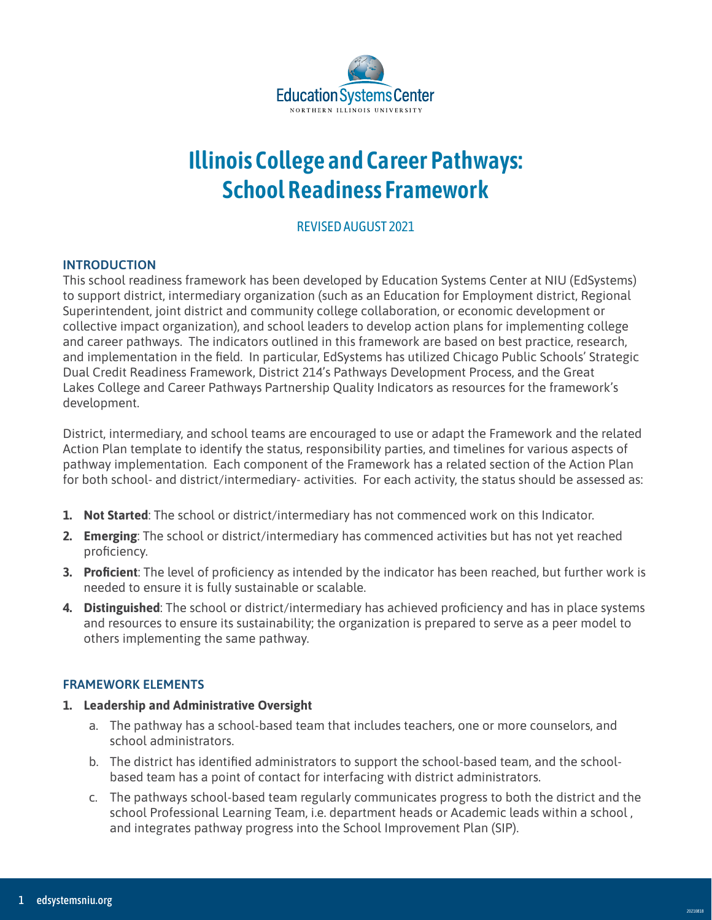

# **Illinois College and Career Pathways: School Readiness Framework**

# REVISED AUGUST 2021

# **INTRODUCTION**

This school readiness framework has been developed by Education Systems Center at NIU (EdSystems) to support district, intermediary organization (such as an Education for Employment district, Regional Superintendent, joint district and community college collaboration, or economic development or collective impact organization), and school leaders to develop action plans for implementing college and career pathways. The indicators outlined in this framework are based on best practice, research, and implementation in the field. In particular, EdSystems has utilized Chicago Public Schools' Strategic Dual Credit Readiness Framework, District 214's Pathways Development Process, and the Great Lakes College and Career Pathways Partnership Quality Indicators as resources for the framework's development.

District, intermediary, and school teams are encouraged to use or adapt the Framework and the related Action Plan template to identify the status, responsibility parties, and timelines for various aspects of pathway implementation. Each component of the Framework has a related section of the Action Plan for both school- and district/intermediary- activities. For each activity, the status should be assessed as:

- **1. Not Started**: The school or district/intermediary has not commenced work on this Indicator.
- **2. Emerging**: The school or district/intermediary has commenced activities but has not yet reached proficiency.
- **3. Proficient**: The level of proficiency as intended by the indicator has been reached, but further work is needed to ensure it is fully sustainable or scalable.
- **4. Distinguished**: The school or district/intermediary has achieved proficiency and has in place systems and resources to ensure its sustainability; the organization is prepared to serve as a peer model to others implementing the same pathway.

# **FRAMEWORK ELEMENTS**

- **1. Leadership and Administrative Oversight**
	- a. The pathway has a school-based team that includes teachers, one or more counselors, and school administrators.
	- b. The district has identified administrators to support the school-based team, and the schoolbased team has a point of contact for interfacing with district administrators.
	- c. The pathways school-based team regularly communicates progress to both the district and the school Professional Learning Team, i.e. department heads or Academic leads within a school , and integrates pathway progress into the School Improvement Plan (SIP).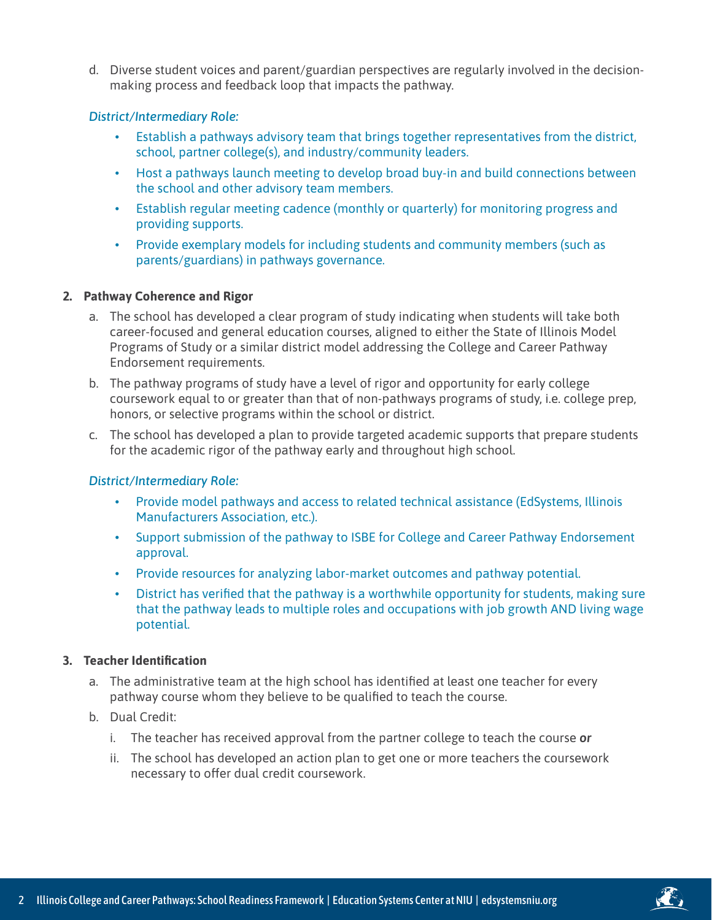d. Diverse student voices and parent/guardian perspectives are regularly involved in the decisionmaking process and feedback loop that impacts the pathway.

#### *District/Intermediary Role:*

- Establish a pathways advisory team that brings together representatives from the district, school, partner college(s), and industry/community leaders.
- Host a pathways launch meeting to develop broad buy-in and build connections between the school and other advisory team members.
- Establish regular meeting cadence (monthly or quarterly) for monitoring progress and providing supports.
- Provide exemplary models for including students and community members (such as parents/guardians) in pathways governance.

#### **2. Pathway Coherence and Rigor**

- a. The school has developed a clear program of study indicating when students will take both career-focused and general education courses, aligned to either the State of Illinois Model Programs of Study or a similar district model addressing the College and Career Pathway Endorsement requirements.
- b. The pathway programs of study have a level of rigor and opportunity for early college coursework equal to or greater than that of non-pathways programs of study, i.e. college prep, honors, or selective programs within the school or district.
- c. The school has developed a plan to provide targeted academic supports that prepare students for the academic rigor of the pathway early and throughout high school.

#### *District/Intermediary Role:*

- Provide model pathways and access to related technical assistance (EdSystems, Illinois Manufacturers Association, etc.).
- Support submission of the pathway to ISBE for College and Career Pathway Endorsement approval.
- Provide resources for analyzing labor-market outcomes and pathway potential.
- District has verified that the pathway is a worthwhile opportunity for students, making sure that the pathway leads to multiple roles and occupations with job growth AND living wage potential.

#### **3. Teacher Identification**

- a. The administrative team at the high school has identified at least one teacher for every pathway course whom they believe to be qualified to teach the course.
- b. Dual Credit:
	- i. The teacher has received approval from the partner college to teach the course *or*
	- ii. The school has developed an action plan to get one or more teachers the coursework necessary to offer dual credit coursework.

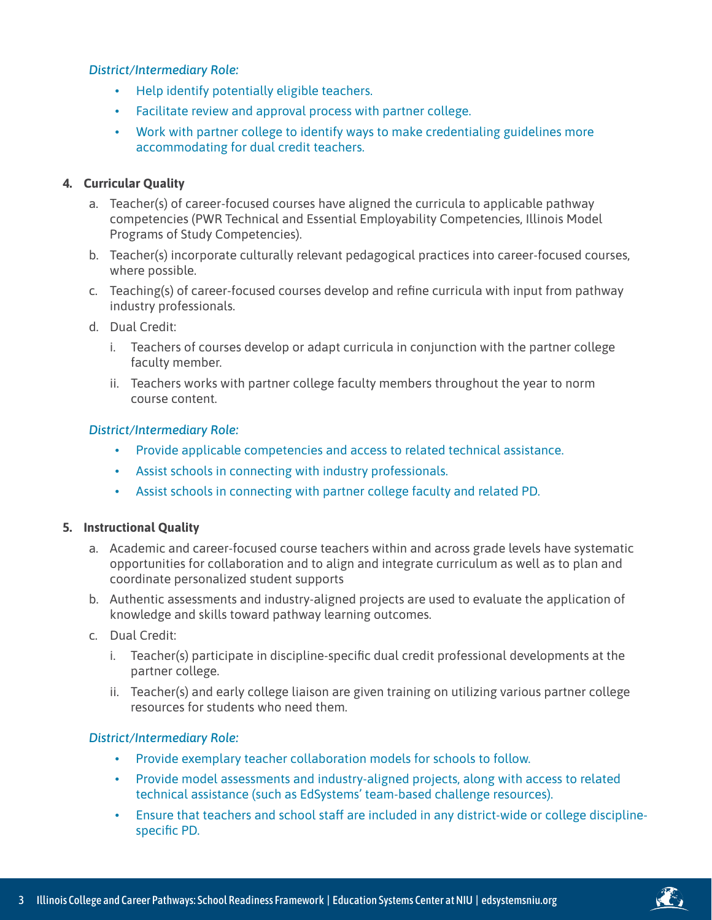# *District/Intermediary Role:*

- Help identify potentially eligible teachers.
- Facilitate review and approval process with partner college.
- Work with partner college to identify ways to make credentialing guidelines more accommodating for dual credit teachers.

# **4. Curricular Quality**

- a. Teacher(s) of career-focused courses have aligned the curricula to applicable pathway competencies (PWR Technical and Essential Employability Competencies, Illinois Model Programs of Study Competencies).
- b. Teacher(s) incorporate culturally relevant pedagogical practices into career-focused courses, where possible.
- c. Teaching(s) of career-focused courses develop and refine curricula with input from pathway industry professionals.
- d. Dual Credit:
	- i. Teachers of courses develop or adapt curricula in conjunction with the partner college faculty member.
	- ii. Teachers works with partner college faculty members throughout the year to norm course content.

# *District/Intermediary Role:*

- Provide applicable competencies and access to related technical assistance.
- Assist schools in connecting with industry professionals.
- Assist schools in connecting with partner college faculty and related PD.

# **5. Instructional Quality**

- a. Academic and career-focused course teachers within and across grade levels have systematic opportunities for collaboration and to align and integrate curriculum as well as to plan and coordinate personalized student supports
- b. Authentic assessments and industry-aligned projects are used to evaluate the application of knowledge and skills toward pathway learning outcomes.
- c. Dual Credit:
	- i. Teacher(s) participate in discipline-specific dual credit professional developments at the partner college.
	- ii. Teacher(s) and early college liaison are given training on utilizing various partner college resources for students who need them.

# *District/Intermediary Role:*

- Provide exemplary teacher collaboration models for schools to follow.
- Provide model assessments and industry-aligned projects, along with access to related technical assistance (such as EdSystems' team-based challenge resources).
- Ensure that teachers and school staff are included in any district-wide or college disciplinespecific PD.

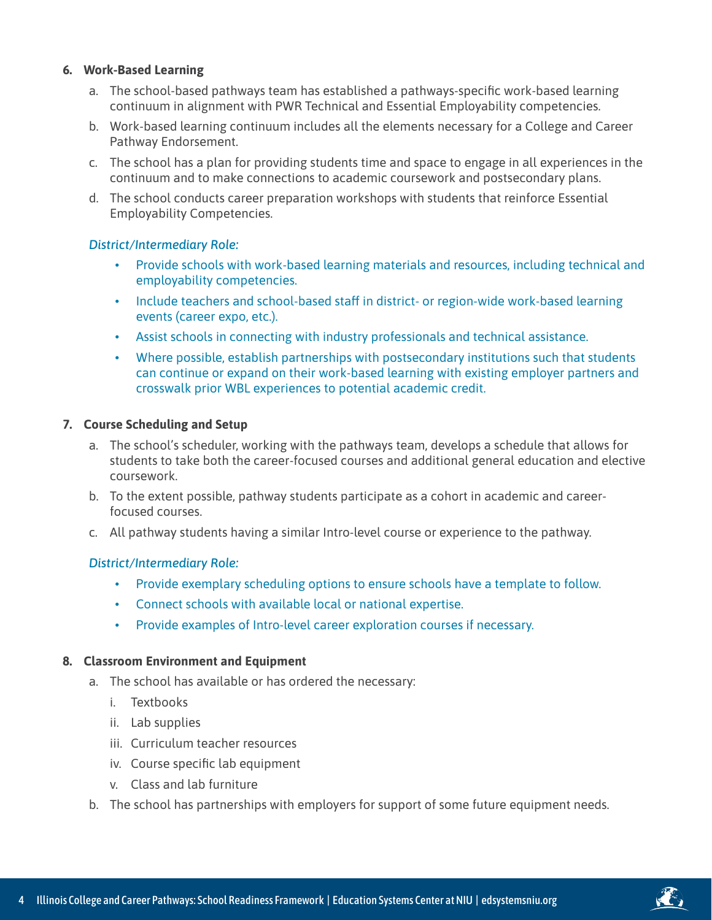#### **6. Work-Based Learning**

- a. The school-based pathways team has established a pathways-specific work-based learning continuum in alignment with PWR Technical and Essential Employability competencies.
- b. Work-based learning continuum includes all the elements necessary for a College and Career Pathway Endorsement.
- c. The school has a plan for providing students time and space to engage in all experiences in the continuum and to make connections to academic coursework and postsecondary plans.
- d. The school conducts career preparation workshops with students that reinforce Essential Employability Competencies.

# *District/Intermediary Role:*

- Provide schools with work-based learning materials and resources, including technical and employability competencies.
- Include teachers and school-based staff in district- or region-wide work-based learning events (career expo, etc.).
- Assist schools in connecting with industry professionals and technical assistance.
- Where possible, establish partnerships with postsecondary institutions such that students can continue or expand on their work-based learning with existing employer partners and crosswalk prior WBL experiences to potential academic credit.

#### **7. Course Scheduling and Setup**

- a. The school's scheduler, working with the pathways team, develops a schedule that allows for students to take both the career-focused courses and additional general education and elective coursework.
- b. To the extent possible, pathway students participate as a cohort in academic and careerfocused courses.
- c. All pathway students having a similar Intro-level course or experience to the pathway.

# *District/Intermediary Role:*

- Provide exemplary scheduling options to ensure schools have a template to follow.
- Connect schools with available local or national expertise.
- Provide examples of Intro-level career exploration courses if necessary.

#### **8. Classroom Environment and Equipment**

- a. The school has available or has ordered the necessary:
	- i. Textbooks
	- ii. Lab supplies
	- iii. Curriculum teacher resources
	- iv. Course specific lab equipment
	- v. Class and lab furniture
- b. The school has partnerships with employers for support of some future equipment needs.